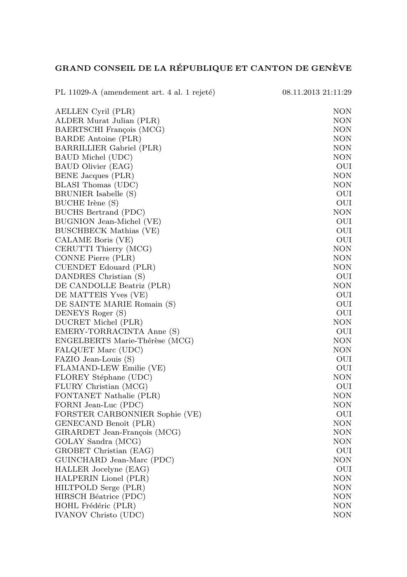## GRAND CONSEIL DE LA RÉPUBLIQUE ET CANTON DE GENÈVE

| PL 11029-A (amendement art. 4 al. 1 rejeté)    | 08.11.2013 21:11:29 |
|------------------------------------------------|---------------------|
| AELLEN Cyril (PLR)                             | NON                 |
| ALDER Murat Julian (PLR)                       | NON                 |
| BAERTSCHI François (MCG)                       | NON                 |
| BARDE Antoine (PLR)                            | NON                 |
| BARRILLIER Gabriel (PLR)                       | NON                 |
| BAUD Michel (UDC)                              | <b>NON</b>          |
| BAUD Olivier (EAG)                             | OUI                 |
| BENE Jacques (PLR)                             | NON                 |
| BLASI Thomas (UDC)                             | NON                 |
| BRUNIER Isabelle (S)                           | OUI                 |
| BUCHE Irène (S)                                | OUI                 |
| BUCHS Bertrand (PDC)                           | <b>NON</b>          |
| BUGNION Jean-Michel (VE)                       | OUI                 |
| BUSCHBECK Mathias (VE)                         | OUI                 |
| CALAME Boris (VE)                              | OUI                 |
| CERUTTI Thierry (MCG)                          | NON                 |
| CONNE Pierre (PLR)                             | <b>NON</b>          |
| CUENDET Edouard (PLR)                          | NON                 |
| DANDRES Christian (S)                          | OUI                 |
| DE CANDOLLE Beatriz (PLR)                      | NON                 |
| DE MATTEIS Yves (VE)                           | OUI                 |
| DE SAINTE MARIE Romain (S)                     | OUI                 |
| DENEYS Roger (S)                               | OUI                 |
| DUCRET Michel (PLR)                            | NON                 |
| EMERY-TORRACINTA Anne (S)                      | OUI                 |
| ENGELBERTS Marie-Thérèse (MCG)                 | <b>NON</b>          |
| FALQUET Marc (UDC)                             | NON                 |
| FAZIO Jean-Louis (S)                           | OUI                 |
| FLAMAND-LEW Emilie (VE)                        | OUI                 |
| FLOREY Stéphane (UDC)                          | NON                 |
| FLURY Christian (MCG)                          | OUI                 |
| FONTANET Nathalie (PLR)                        | NON                 |
| FORNI Jean-Luc (PDC)                           | NON                 |
| FORSTER CARBONNIER Sophie (VE)                 | OUI                 |
| GENECAND Benoît (PLR)                          | <b>NON</b>          |
| GIRARDET Jean-François (MCG)                   | <b>NON</b>          |
| GOLAY Sandra (MCG)                             | NON                 |
| GROBET Christian (EAG)                         | OUI                 |
| GUINCHARD Jean-Marc (PDC)                      | NON                 |
| HALLER Jocelyne (EAG)<br>HALPERIN Lionel (PLR) | OUI<br><b>NON</b>   |
|                                                | NON                 |
| HILTPOLD Serge (PLR)                           | NON                 |
| HIRSCH Béatrice (PDC)<br>HOHL Frédéric (PLR)   | NON                 |
|                                                |                     |
| <b>IVANOV</b> Christo (UDC)                    | NON                 |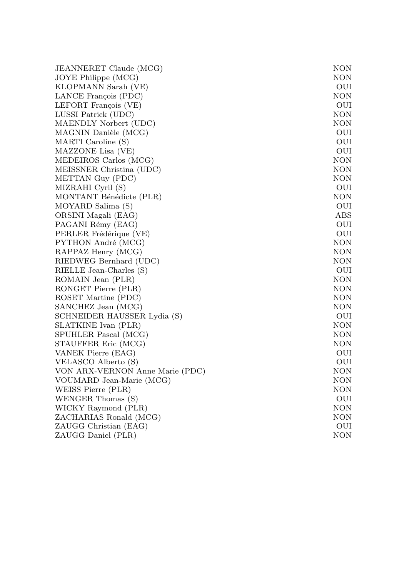| JEANNERET Claude (MCG)          | NON        |
|---------------------------------|------------|
| JOYE Philippe (MCG)             | NON        |
| KLOPMANN Sarah (VE)             | OUI        |
| LANCE François (PDC)            | <b>NON</b> |
| LEFORT François (VE)            | OUI        |
| LUSSI Patrick (UDC)             | <b>NON</b> |
| MAENDLY Norbert (UDC)           | <b>NON</b> |
| MAGNIN Danièle (MCG)            | OUI        |
| MARTI Caroline (S)              | OUI        |
| MAZZONE Lisa (VE)               | OUI        |
| MEDEIROS Carlos (MCG)           | <b>NON</b> |
| MEISSNER Christina (UDC)        | <b>NON</b> |
| METTAN Guy (PDC)                | <b>NON</b> |
| MIZRAHI Cyril (S)               | OUI        |
| MONTANT Bénédicte (PLR)         | <b>NON</b> |
| MOYARD Salima (S)               | OUI        |
| ORSINI Magali (EAG)             | ABS        |
| PAGANI Rémy (EAG)               | OUI        |
| PERLER Frédérique (VE)          | OUI        |
| PYTHON André (MCG)              | <b>NON</b> |
| RAPPAZ Henry (MCG)              | NON        |
| RIEDWEG Bernhard (UDC)          | <b>NON</b> |
| RIELLE Jean-Charles (S)         | OUI        |
| ROMAIN Jean (PLR)               | <b>NON</b> |
| RONGET Pierre (PLR)             | <b>NON</b> |
| ROSET Martine (PDC)             | <b>NON</b> |
| SANCHEZ Jean (MCG)              | <b>NON</b> |
| SCHNEIDER HAUSSER Lydia (S)     | OUI        |
| SLATKINE Ivan (PLR)             | <b>NON</b> |
| SPUHLER Pascal (MCG)            | <b>NON</b> |
| STAUFFER Eric (MCG)             | <b>NON</b> |
| VANEK Pierre (EAG)              | OUI        |
| VELASCO Alberto (S)             | OUI        |
| VON ARX-VERNON Anne Marie (PDC) | <b>NON</b> |
| VOUMARD Jean-Marie (MCG)        | <b>NON</b> |
| WEISS Pierre (PLR)              | <b>NON</b> |
| WENGER Thomas (S)               | OUI        |
| WICKY Raymond (PLR)             | <b>NON</b> |
| ZACHARIAS Ronald (MCG)          | <b>NON</b> |
| ZAUGG Christian (EAG)           | OUI        |
| ZAUGG Daniel (PLR)              | <b>NON</b> |